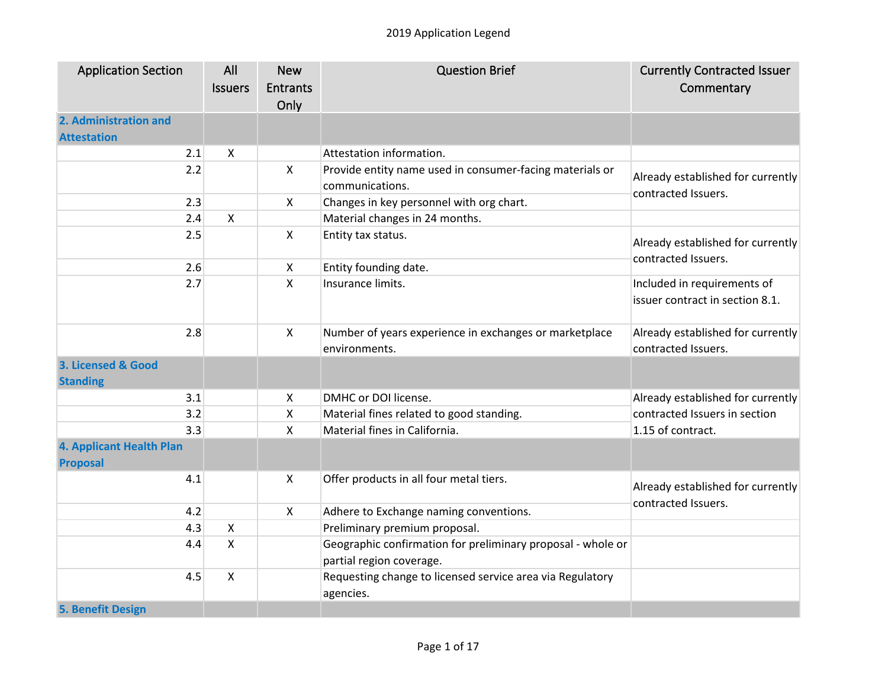| <b>Application Section</b> | All            | <b>New</b>      | <b>Question Brief</b>                                       | <b>Currently Contracted Issuer</b>                       |
|----------------------------|----------------|-----------------|-------------------------------------------------------------|----------------------------------------------------------|
|                            | <b>Issuers</b> | <b>Entrants</b> |                                                             | Commentary                                               |
|                            |                | Only            |                                                             |                                                          |
| 2. Administration and      |                |                 |                                                             |                                                          |
| <b>Attestation</b>         |                |                 |                                                             |                                                          |
| 2.1                        | X              |                 | Attestation information.                                    |                                                          |
| 2.2                        |                | $\mathsf{X}$    | Provide entity name used in consumer-facing materials or    |                                                          |
|                            |                |                 | communications.                                             | Already established for currently                        |
| 2.3                        |                | $\mathsf{X}$    | Changes in key personnel with org chart.                    | contracted Issuers.                                      |
| 2.4                        | $\mathsf{X}$   |                 | Material changes in 24 months.                              |                                                          |
| 2.5                        |                | $\mathsf{X}$    | Entity tax status.                                          |                                                          |
|                            |                |                 |                                                             | Already established for currently<br>contracted Issuers. |
| 2.6                        |                | X               | Entity founding date.                                       |                                                          |
| 2.7                        |                | Χ               | Insurance limits.                                           | Included in requirements of                              |
|                            |                |                 |                                                             | issuer contract in section 8.1.                          |
|                            |                |                 |                                                             |                                                          |
| 2.8                        |                | $\mathsf{X}$    | Number of years experience in exchanges or marketplace      | Already established for currently                        |
|                            |                |                 | environments.                                               | contracted Issuers.                                      |
| 3. Licensed & Good         |                |                 |                                                             |                                                          |
| <b>Standing</b>            |                |                 |                                                             |                                                          |
| 3.1                        |                | X               | DMHC or DOI license.                                        | Already established for currently                        |
| 3.2                        |                | X               | Material fines related to good standing.                    | contracted Issuers in section                            |
| 3.3                        |                | X               | Material fines in California.                               | 1.15 of contract.                                        |
| 4. Applicant Health Plan   |                |                 |                                                             |                                                          |
| <b>Proposal</b>            |                |                 |                                                             |                                                          |
| 4.1                        |                | X               | Offer products in all four metal tiers.                     | Already established for currently                        |
|                            |                |                 |                                                             | contracted Issuers.                                      |
| 4.2                        |                | $\mathsf{X}$    | Adhere to Exchange naming conventions.                      |                                                          |
| 4.3                        | $\pmb{\times}$ |                 | Preliminary premium proposal.                               |                                                          |
| 4.4                        | $\mathsf{X}$   |                 | Geographic confirmation for preliminary proposal - whole or |                                                          |
|                            |                |                 | partial region coverage.                                    |                                                          |
| 4.5                        | $\mathsf{X}$   |                 | Requesting change to licensed service area via Regulatory   |                                                          |
|                            |                |                 | agencies.                                                   |                                                          |
| 5. Benefit Design          |                |                 |                                                             |                                                          |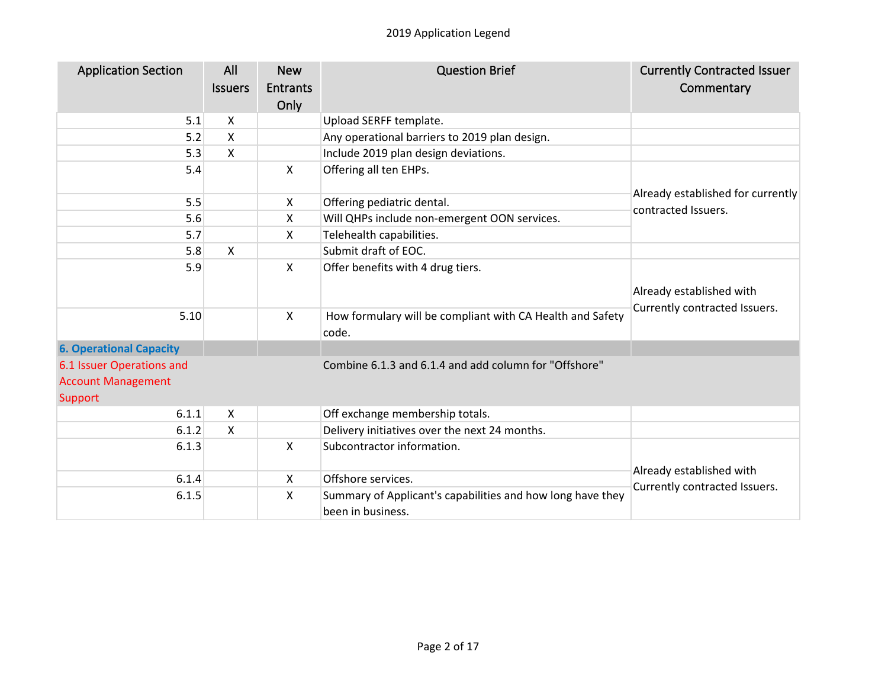| <b>Application Section</b>     | All                       | <b>New</b>      | <b>Question Brief</b>                                      | <b>Currently Contracted Issuer</b>                       |
|--------------------------------|---------------------------|-----------------|------------------------------------------------------------|----------------------------------------------------------|
|                                | <b>Issuers</b>            | <b>Entrants</b> |                                                            | Commentary                                               |
|                                |                           | Only            |                                                            |                                                          |
| 5.1                            | X                         |                 | Upload SERFF template.                                     |                                                          |
| 5.2                            | $\boldsymbol{\mathsf{X}}$ |                 | Any operational barriers to 2019 plan design.              |                                                          |
| 5.3                            | $\mathsf{X}$              |                 | Include 2019 plan design deviations.                       |                                                          |
| 5.4                            |                           | X               | Offering all ten EHPs.                                     |                                                          |
|                                |                           |                 |                                                            |                                                          |
| 5.5                            |                           | X               | Offering pediatric dental.                                 | Already established for currently<br>contracted Issuers. |
| 5.6                            |                           | X               | Will QHPs include non-emergent OON services.               |                                                          |
| 5.7                            |                           | X               | Telehealth capabilities.                                   |                                                          |
| 5.8                            | $\boldsymbol{\mathsf{X}}$ |                 | Submit draft of EOC.                                       |                                                          |
| 5.9                            |                           | X               | Offer benefits with 4 drug tiers.                          |                                                          |
|                                |                           |                 |                                                            |                                                          |
|                                |                           |                 |                                                            | Already established with                                 |
| 5.10                           |                           | X               | How formulary will be compliant with CA Health and Safety  | Currently contracted Issuers.                            |
|                                |                           |                 | code.                                                      |                                                          |
| <b>6. Operational Capacity</b> |                           |                 |                                                            |                                                          |
| 6.1 Issuer Operations and      |                           |                 | Combine 6.1.3 and 6.1.4 and add column for "Offshore"      |                                                          |
| <b>Account Management</b>      |                           |                 |                                                            |                                                          |
| <b>Support</b>                 |                           |                 |                                                            |                                                          |
| 6.1.1                          | X                         |                 | Off exchange membership totals.                            |                                                          |
| 6.1.2                          | $\mathsf{x}$              |                 | Delivery initiatives over the next 24 months.              |                                                          |
| 6.1.3                          |                           | X               | Subcontractor information.                                 |                                                          |
|                                |                           |                 |                                                            |                                                          |
| 6.1.4                          |                           | $\mathsf{X}$    | Offshore services.                                         | Already established with                                 |
| 6.1.5                          |                           | X               | Summary of Applicant's capabilities and how long have they | Currently contracted Issuers.                            |
|                                |                           |                 | been in business.                                          |                                                          |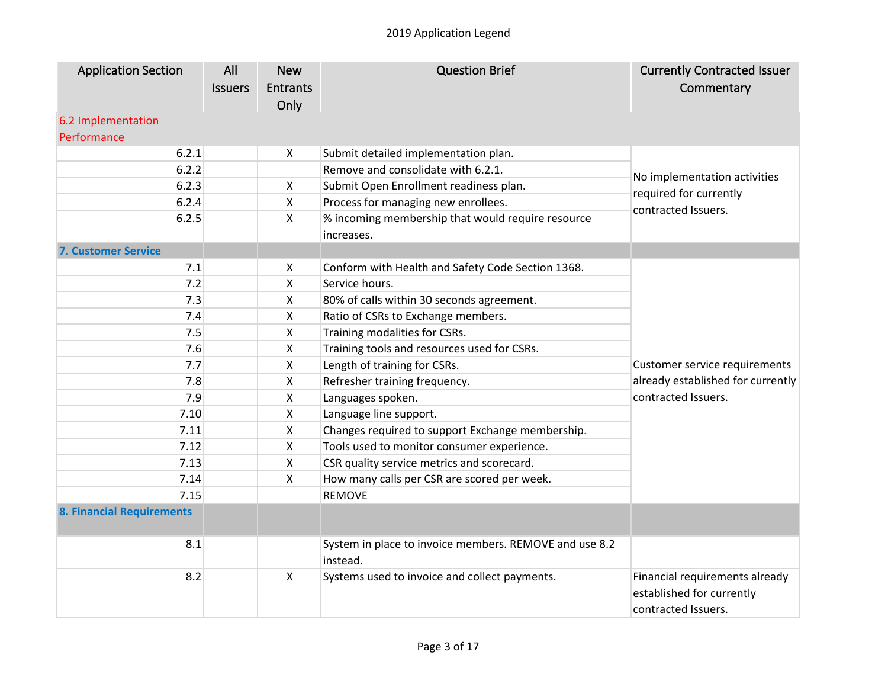| No implementation activities      |
|-----------------------------------|
|                                   |
|                                   |
|                                   |
|                                   |
|                                   |
|                                   |
|                                   |
|                                   |
|                                   |
|                                   |
| Customer service requirements     |
| already established for currently |
|                                   |
|                                   |
|                                   |
|                                   |
|                                   |
|                                   |
|                                   |
|                                   |
|                                   |
|                                   |
| Financial requirements already    |
|                                   |
|                                   |
|                                   |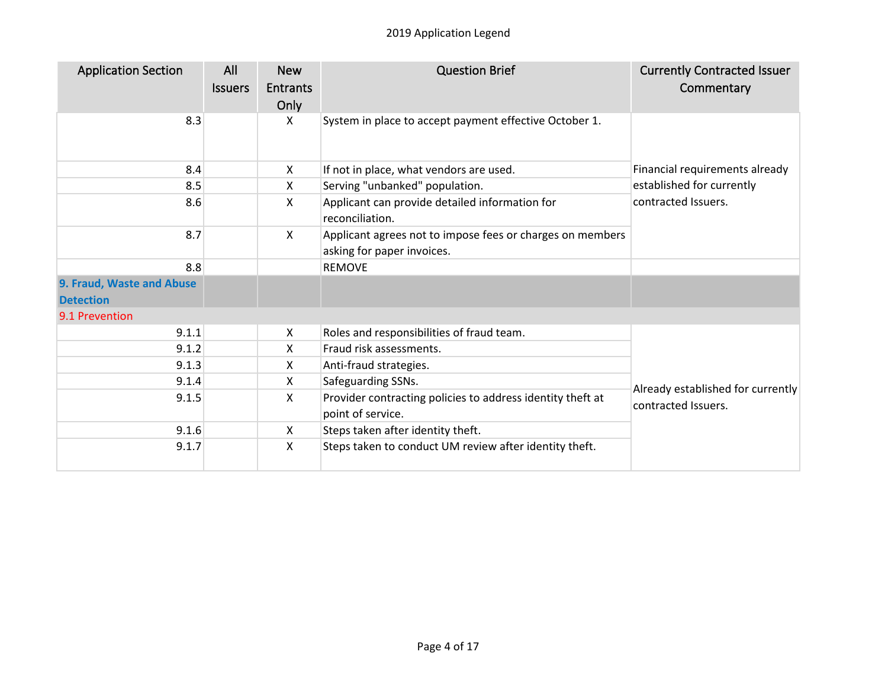| <b>Application Section</b>                    | All<br><b>Issuers</b> | <b>New</b><br><b>Entrants</b><br>Only | <b>Question Brief</b>                                                                   | <b>Currently Contracted Issuer</b><br>Commentary |
|-----------------------------------------------|-----------------------|---------------------------------------|-----------------------------------------------------------------------------------------|--------------------------------------------------|
| 8.3                                           |                       | X                                     | System in place to accept payment effective October 1.                                  |                                                  |
| 8.4                                           |                       | X                                     | If not in place, what vendors are used.                                                 | Financial requirements already                   |
| 8.5                                           |                       | X                                     | Serving "unbanked" population.                                                          | established for currently                        |
| 8.6                                           |                       | X                                     | Applicant can provide detailed information for<br>reconciliation.                       | contracted Issuers.                              |
| 8.7                                           |                       | X                                     | Applicant agrees not to impose fees or charges on members<br>asking for paper invoices. |                                                  |
| 8.8                                           |                       |                                       | <b>REMOVE</b>                                                                           |                                                  |
| 9. Fraud, Waste and Abuse<br><b>Detection</b> |                       |                                       |                                                                                         |                                                  |
| 9.1 Prevention                                |                       |                                       |                                                                                         |                                                  |
| 9.1.1                                         |                       | X                                     | Roles and responsibilities of fraud team.                                               |                                                  |
| 9.1.2                                         |                       | X                                     | Fraud risk assessments.                                                                 |                                                  |
| 9.1.3                                         |                       | X                                     | Anti-fraud strategies.                                                                  |                                                  |
| 9.1.4                                         |                       | X                                     | Safeguarding SSNs.                                                                      | Already established for currently                |
| 9.1.5                                         |                       | X                                     | Provider contracting policies to address identity theft at<br>point of service.         | contracted Issuers.                              |
| 9.1.6                                         |                       | X                                     | Steps taken after identity theft.                                                       |                                                  |
| 9.1.7                                         |                       | $\mathsf{X}$                          | Steps taken to conduct UM review after identity theft.                                  |                                                  |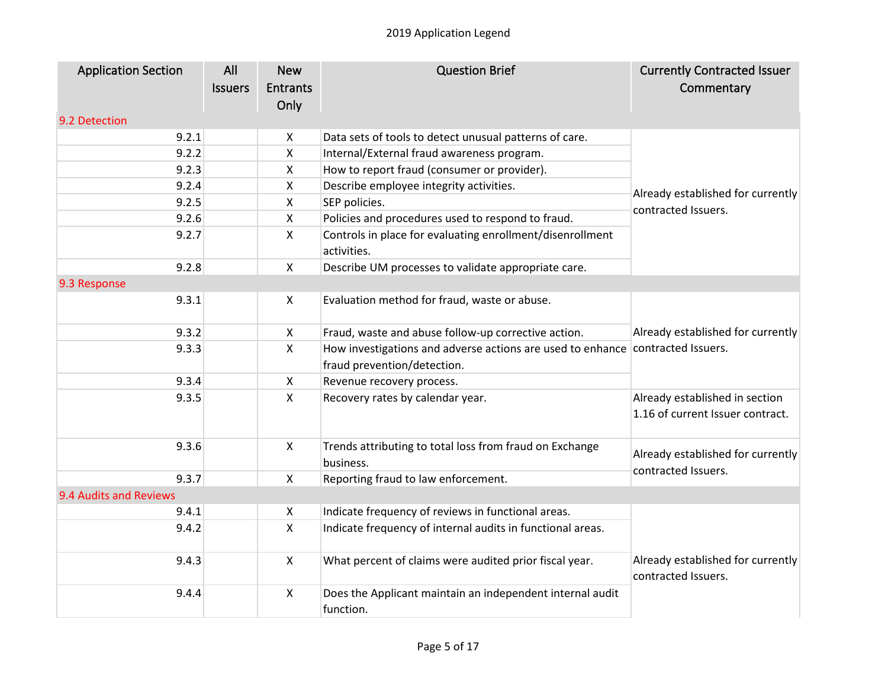| <b>Application Section</b> | All            | <b>New</b>      | <b>Question Brief</b>                                                          | <b>Currently Contracted Issuer</b> |
|----------------------------|----------------|-----------------|--------------------------------------------------------------------------------|------------------------------------|
|                            | <b>Issuers</b> | <b>Entrants</b> |                                                                                | Commentary                         |
|                            |                | Only            |                                                                                |                                    |
| 9.2 Detection              |                |                 |                                                                                |                                    |
| 9.2.1                      |                | X               | Data sets of tools to detect unusual patterns of care.                         |                                    |
| 9.2.2                      |                | Χ               | Internal/External fraud awareness program.                                     |                                    |
| 9.2.3                      |                | X               | How to report fraud (consumer or provider).                                    |                                    |
| 9.2.4                      |                | X               | Describe employee integrity activities.                                        | Already established for currently  |
| 9.2.5                      |                | Χ               | SEP policies.                                                                  | contracted Issuers.                |
| 9.2.6                      |                | X               | Policies and procedures used to respond to fraud.                              |                                    |
| 9.2.7                      |                | X               | Controls in place for evaluating enrollment/disenrollment<br>activities.       |                                    |
| 9.2.8                      |                | X               | Describe UM processes to validate appropriate care.                            |                                    |
| 9.3 Response               |                |                 |                                                                                |                                    |
| 9.3.1                      |                | X               | Evaluation method for fraud, waste or abuse.                                   |                                    |
| 9.3.2                      |                | X               | Fraud, waste and abuse follow-up corrective action.                            | Already established for currently  |
| 9.3.3                      |                | X               | How investigations and adverse actions are used to enhance contracted Issuers. |                                    |
|                            |                |                 | fraud prevention/detection.                                                    |                                    |
| 9.3.4                      |                | X               | Revenue recovery process.                                                      |                                    |
| 9.3.5                      |                | X               | Recovery rates by calendar year.                                               | Already established in section     |
|                            |                |                 |                                                                                | 1.16 of current Issuer contract.   |
|                            |                |                 |                                                                                |                                    |
| 9.3.6                      |                | X               | Trends attributing to total loss from fraud on Exchange                        | Already established for currently  |
|                            |                |                 | business.                                                                      | contracted Issuers.                |
| 9.3.7                      |                | $\pmb{\times}$  | Reporting fraud to law enforcement.                                            |                                    |
| 9.4 Audits and Reviews     |                |                 |                                                                                |                                    |
| 9.4.1                      |                | X               | Indicate frequency of reviews in functional areas.                             |                                    |
| 9.4.2                      |                | X               | Indicate frequency of internal audits in functional areas.                     |                                    |
| 9.4.3                      |                | X               | What percent of claims were audited prior fiscal year.                         | Already established for currently  |
|                            |                |                 |                                                                                | contracted Issuers.                |
| 9.4.4                      |                | $\mathsf{X}$    | Does the Applicant maintain an independent internal audit<br>function.         |                                    |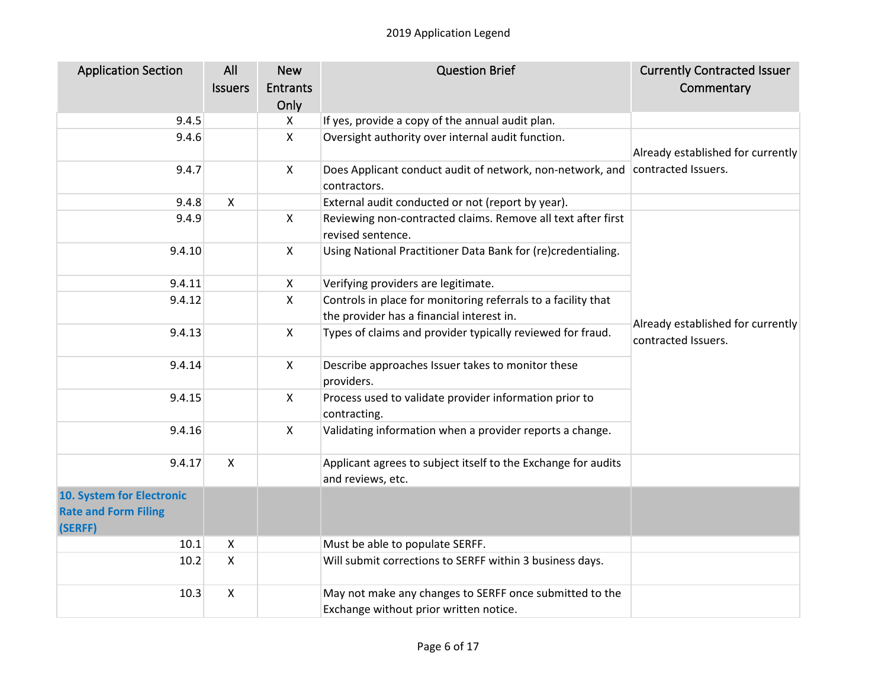| <b>Application Section</b>  | All                       | <b>New</b>      | <b>Question Brief</b>                                         | <b>Currently Contracted Issuer</b>                       |
|-----------------------------|---------------------------|-----------------|---------------------------------------------------------------|----------------------------------------------------------|
|                             | <b>Issuers</b>            | <b>Entrants</b> |                                                               | Commentary                                               |
|                             |                           | Only            |                                                               |                                                          |
| 9.4.5                       |                           | X               | If yes, provide a copy of the annual audit plan.              |                                                          |
| 9.4.6                       |                           | $\pmb{\times}$  | Oversight authority over internal audit function.             |                                                          |
|                             |                           |                 |                                                               | Already established for currently                        |
| 9.4.7                       |                           | X               | Does Applicant conduct audit of network, non-network, and     | contracted Issuers.                                      |
|                             |                           |                 | contractors.                                                  |                                                          |
| 9.4.8                       | $\mathsf{X}$              |                 | External audit conducted or not (report by year).             |                                                          |
| 9.4.9                       |                           | X               | Reviewing non-contracted claims. Remove all text after first  |                                                          |
|                             |                           |                 | revised sentence.                                             |                                                          |
| 9.4.10                      |                           | X               | Using National Practitioner Data Bank for (re)credentialing.  |                                                          |
|                             |                           |                 |                                                               |                                                          |
| 9.4.11                      |                           | X               | Verifying providers are legitimate.                           |                                                          |
| 9.4.12                      |                           | X               | Controls in place for monitoring referrals to a facility that |                                                          |
|                             |                           |                 | the provider has a financial interest in.                     | Already established for currently<br>contracted Issuers. |
| 9.4.13                      |                           | X               | Types of claims and provider typically reviewed for fraud.    |                                                          |
| 9.4.14                      |                           | X               | Describe approaches Issuer takes to monitor these             |                                                          |
|                             |                           |                 | providers.                                                    |                                                          |
| 9.4.15                      |                           | X               | Process used to validate provider information prior to        |                                                          |
|                             |                           |                 | contracting.                                                  |                                                          |
| 9.4.16                      |                           | $\mathsf{X}$    | Validating information when a provider reports a change.      |                                                          |
|                             |                           |                 |                                                               |                                                          |
| 9.4.17                      | $\mathsf{X}$              |                 | Applicant agrees to subject itself to the Exchange for audits |                                                          |
|                             |                           |                 | and reviews, etc.                                             |                                                          |
| 10. System for Electronic   |                           |                 |                                                               |                                                          |
| <b>Rate and Form Filing</b> |                           |                 |                                                               |                                                          |
| (SERFF)                     |                           |                 |                                                               |                                                          |
| 10.1                        | $\pmb{\times}$            |                 | Must be able to populate SERFF.                               |                                                          |
| 10.2                        | $\mathsf{X}$              |                 | Will submit corrections to SERFF within 3 business days.      |                                                          |
| 10.3                        | $\boldsymbol{\mathsf{X}}$ |                 | May not make any changes to SERFF once submitted to the       |                                                          |
|                             |                           |                 | Exchange without prior written notice.                        |                                                          |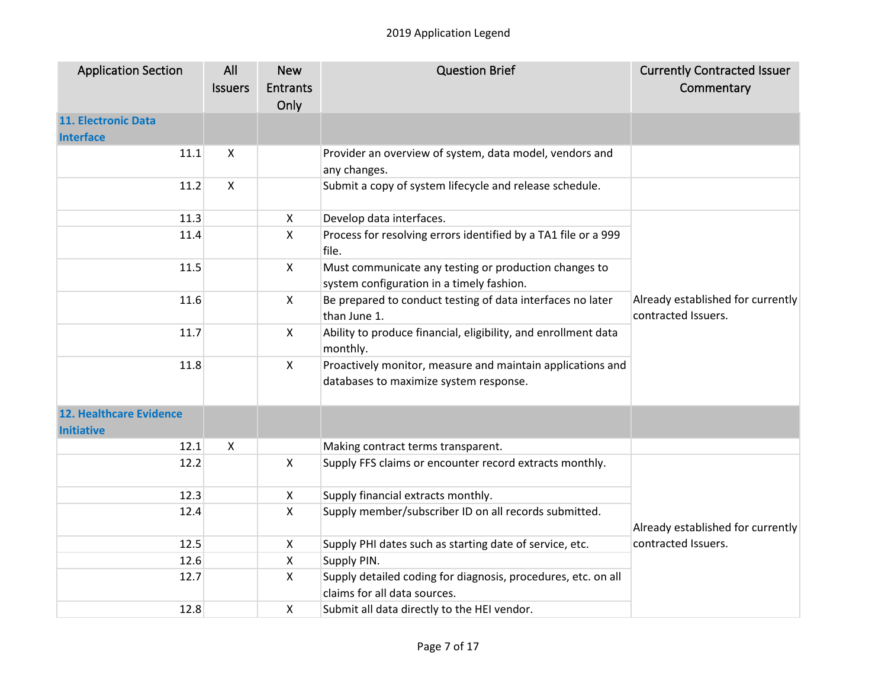| <b>Application Section</b>                          | All<br><b>Issuers</b> | <b>New</b><br><b>Entrants</b><br>Only | <b>Question Brief</b>                                                                                | <b>Currently Contracted Issuer</b><br>Commentary         |
|-----------------------------------------------------|-----------------------|---------------------------------------|------------------------------------------------------------------------------------------------------|----------------------------------------------------------|
| 11. Electronic Data<br><b>Interface</b>             |                       |                                       |                                                                                                      |                                                          |
| 11.1                                                | X                     |                                       | Provider an overview of system, data model, vendors and<br>any changes.                              |                                                          |
| 11.2                                                | $\mathsf{x}$          |                                       | Submit a copy of system lifecycle and release schedule.                                              |                                                          |
| 11.3                                                |                       | $\pmb{\times}$                        | Develop data interfaces.                                                                             |                                                          |
| 11.4                                                |                       | $\pmb{\times}$                        | Process for resolving errors identified by a TA1 file or a 999<br>file.                              |                                                          |
| 11.5                                                |                       | $\mathsf{X}$                          | Must communicate any testing or production changes to<br>system configuration in a timely fashion.   | Already established for currently<br>contracted Issuers. |
| 11.6                                                |                       | $\boldsymbol{\mathsf{X}}$             | Be prepared to conduct testing of data interfaces no later<br>than June 1.                           |                                                          |
| 11.7                                                |                       | $\mathsf{X}$                          | Ability to produce financial, eligibility, and enrollment data<br>monthly.                           |                                                          |
| 11.8                                                |                       | $\boldsymbol{\mathsf{X}}$             | Proactively monitor, measure and maintain applications and<br>databases to maximize system response. |                                                          |
| <b>12. Healthcare Evidence</b><br><b>Initiative</b> |                       |                                       |                                                                                                      |                                                          |
| 12.1                                                | X                     |                                       | Making contract terms transparent.                                                                   |                                                          |
| 12.2                                                |                       | $\boldsymbol{\mathsf{X}}$             | Supply FFS claims or encounter record extracts monthly.                                              |                                                          |
| 12.3                                                |                       | $\boldsymbol{\mathsf{X}}$             | Supply financial extracts monthly.                                                                   | Already established for currently<br>contracted Issuers. |
| 12.4                                                |                       | $\boldsymbol{\mathsf{X}}$             | Supply member/subscriber ID on all records submitted.                                                |                                                          |
| 12.5                                                |                       | $\boldsymbol{\mathsf{X}}$             | Supply PHI dates such as starting date of service, etc.                                              |                                                          |
| 12.6                                                |                       | $\boldsymbol{\mathsf{X}}$             | Supply PIN.                                                                                          |                                                          |
| 12.7                                                |                       | $\boldsymbol{\mathsf{X}}$             | Supply detailed coding for diagnosis, procedures, etc. on all<br>claims for all data sources.        |                                                          |
| 12.8                                                |                       | $\boldsymbol{\mathsf{X}}$             | Submit all data directly to the HEI vendor.                                                          |                                                          |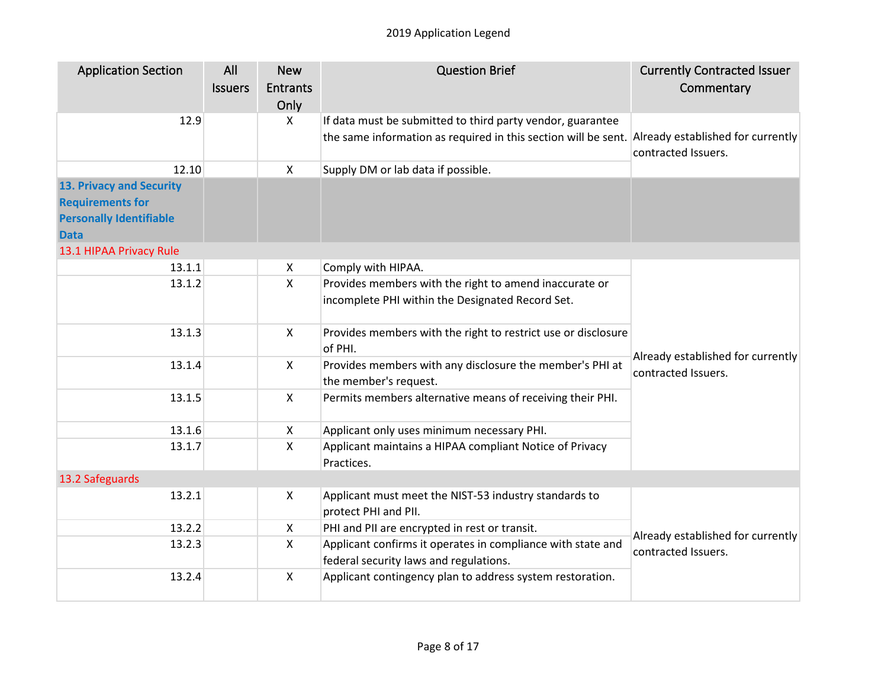| <b>Application Section</b>     | All<br><b>Issuers</b> | <b>New</b><br><b>Entrants</b> | <b>Question Brief</b>                                                                                 | <b>Currently Contracted Issuer</b><br>Commentary         |
|--------------------------------|-----------------------|-------------------------------|-------------------------------------------------------------------------------------------------------|----------------------------------------------------------|
|                                |                       | Only                          |                                                                                                       |                                                          |
| 12.9                           |                       | $\boldsymbol{\mathsf{X}}$     | If data must be submitted to third party vendor, guarantee                                            |                                                          |
|                                |                       |                               | the same information as required in this section will be sent. Already established for currently      | contracted Issuers.                                      |
| 12.10                          |                       | $\mathsf{X}$                  | Supply DM or lab data if possible.                                                                    |                                                          |
| 13. Privacy and Security       |                       |                               |                                                                                                       |                                                          |
| <b>Requirements for</b>        |                       |                               |                                                                                                       |                                                          |
| <b>Personally Identifiable</b> |                       |                               |                                                                                                       |                                                          |
| <b>Data</b>                    |                       |                               |                                                                                                       |                                                          |
| 13.1 HIPAA Privacy Rule        |                       |                               |                                                                                                       |                                                          |
| 13.1.1                         |                       | $\mathsf{X}$                  | Comply with HIPAA.                                                                                    |                                                          |
| 13.1.2                         |                       | X                             | Provides members with the right to amend inaccurate or                                                |                                                          |
|                                |                       |                               | incomplete PHI within the Designated Record Set.                                                      |                                                          |
| 13.1.3                         |                       | $\mathsf{X}$                  | Provides members with the right to restrict use or disclosure<br>of PHI.                              |                                                          |
| 13.1.4                         |                       | $\boldsymbol{\mathsf{X}}$     | Provides members with any disclosure the member's PHI at<br>the member's request.                     | Already established for currently<br>contracted Issuers. |
| 13.1.5                         |                       | $\mathsf{X}$                  | Permits members alternative means of receiving their PHI.                                             |                                                          |
| 13.1.6                         |                       | $\mathsf{X}$                  | Applicant only uses minimum necessary PHI.                                                            |                                                          |
| 13.1.7                         |                       | $\mathsf{x}$                  | Applicant maintains a HIPAA compliant Notice of Privacy<br>Practices.                                 |                                                          |
| 13.2 Safeguards                |                       |                               |                                                                                                       |                                                          |
| 13.2.1                         |                       | $\boldsymbol{\mathsf{X}}$     | Applicant must meet the NIST-53 industry standards to                                                 |                                                          |
|                                |                       |                               | protect PHI and PII.                                                                                  |                                                          |
| 13.2.2                         |                       | $\mathsf{X}$                  | PHI and PII are encrypted in rest or transit.                                                         | Already established for currently<br>contracted Issuers. |
| 13.2.3                         |                       | $\mathsf{X}$                  | Applicant confirms it operates in compliance with state and<br>federal security laws and regulations. |                                                          |
| 13.2.4                         |                       | $\boldsymbol{\mathsf{X}}$     | Applicant contingency plan to address system restoration.                                             |                                                          |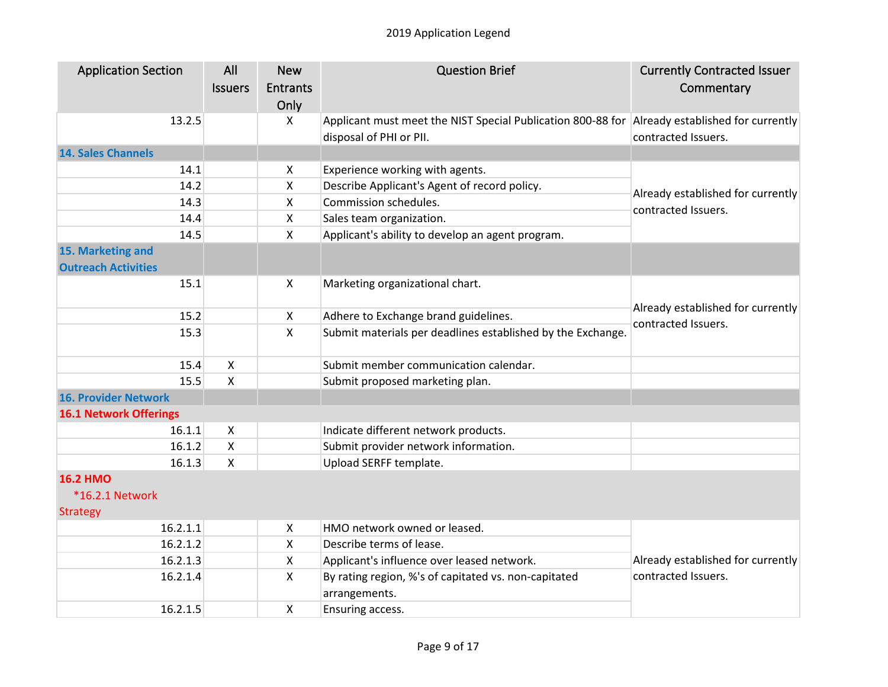| <b>Application Section</b>    | All                       | <b>New</b>                | <b>Question Brief</b>                                                                         | <b>Currently Contracted Issuer</b> |
|-------------------------------|---------------------------|---------------------------|-----------------------------------------------------------------------------------------------|------------------------------------|
|                               | <b>Issuers</b>            | Entrants                  |                                                                                               | Commentary                         |
|                               |                           | Only                      |                                                                                               |                                    |
| 13.2.5                        |                           | X                         | Applicant must meet the NIST Special Publication 800-88 for Already established for currently |                                    |
|                               |                           |                           | disposal of PHI or PII.                                                                       | contracted Issuers.                |
| <b>14. Sales Channels</b>     |                           |                           |                                                                                               |                                    |
| 14.1                          |                           | $\boldsymbol{\mathsf{X}}$ | Experience working with agents.                                                               |                                    |
| 14.2                          |                           | $\boldsymbol{\mathsf{X}}$ | Describe Applicant's Agent of record policy.                                                  | Already established for currently  |
| 14.3                          |                           | $\boldsymbol{\mathsf{X}}$ | Commission schedules.                                                                         | contracted Issuers.                |
| 14.4                          |                           | $\mathsf{X}$              | Sales team organization.                                                                      |                                    |
| 14.5                          |                           | $\mathsf{X}$              | Applicant's ability to develop an agent program.                                              |                                    |
| 15. Marketing and             |                           |                           |                                                                                               |                                    |
| <b>Outreach Activities</b>    |                           |                           |                                                                                               |                                    |
| 15.1                          |                           | X                         | Marketing organizational chart.                                                               |                                    |
|                               |                           |                           |                                                                                               | Already established for currently  |
| 15.2                          |                           | X                         | Adhere to Exchange brand guidelines.                                                          | contracted Issuers.                |
| 15.3                          |                           | $\mathsf{X}$              | Submit materials per deadlines established by the Exchange.                                   |                                    |
|                               |                           |                           |                                                                                               |                                    |
| 15.4                          | $\pmb{\times}$            |                           | Submit member communication calendar.                                                         |                                    |
| 15.5                          | X                         |                           | Submit proposed marketing plan.                                                               |                                    |
| <b>16. Provider Network</b>   |                           |                           |                                                                                               |                                    |
| <b>16.1 Network Offerings</b> |                           |                           |                                                                                               |                                    |
| 16.1.1                        | $\mathsf{x}$              |                           | Indicate different network products.                                                          |                                    |
| 16.1.2                        | $\pmb{\times}$            |                           | Submit provider network information.                                                          |                                    |
| 16.1.3                        | $\boldsymbol{\mathsf{X}}$ |                           | Upload SERFF template.                                                                        |                                    |
| <b>16.2 HMO</b>               |                           |                           |                                                                                               |                                    |
| <b>*16.2.1 Network</b>        |                           |                           |                                                                                               |                                    |
| <b>Strategy</b>               |                           |                           |                                                                                               |                                    |
| 16.2.1.1                      |                           | $\boldsymbol{\mathsf{X}}$ | HMO network owned or leased.                                                                  |                                    |
| 16.2.1.2                      |                           | $\boldsymbol{\mathsf{X}}$ | Describe terms of lease.                                                                      |                                    |
| 16.2.1.3                      |                           | $\boldsymbol{\mathsf{X}}$ | Applicant's influence over leased network.                                                    | Already established for currently  |
| 16.2.1.4                      |                           | $\mathsf{X}$              | By rating region, %'s of capitated vs. non-capitated                                          | contracted Issuers.                |
|                               |                           |                           | arrangements.                                                                                 |                                    |
| 16.2.1.5                      |                           | $\pmb{\times}$            | Ensuring access.                                                                              |                                    |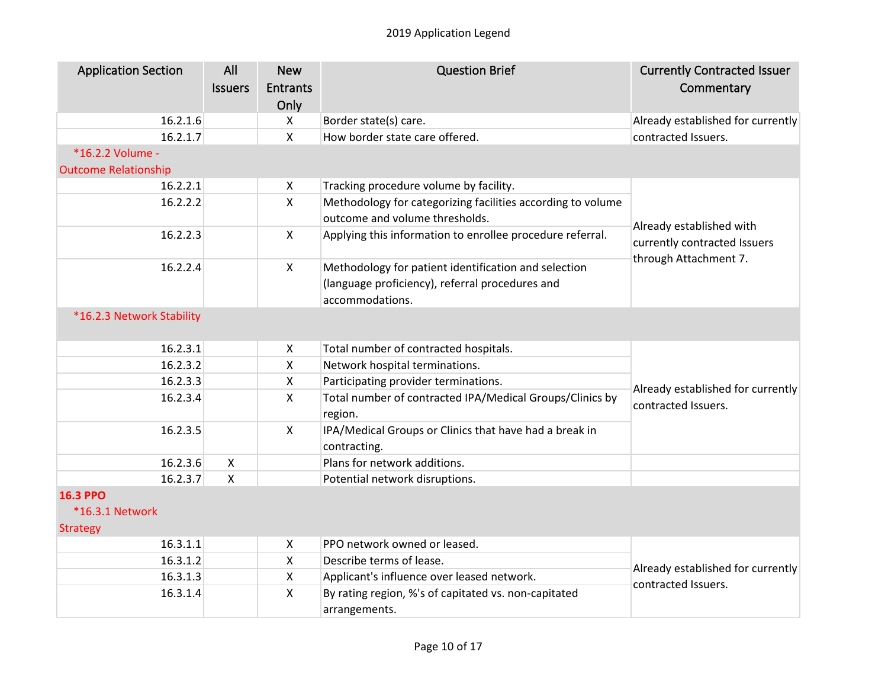| <b>Application Section</b>  | All<br><b>Issuers</b> | <b>New</b><br><b>Entrants</b><br>Only | <b>Question Brief</b>                                                                         | <b>Currently Contracted Issuer</b><br>Commentary         |
|-----------------------------|-----------------------|---------------------------------------|-----------------------------------------------------------------------------------------------|----------------------------------------------------------|
| 16.2.1.6                    |                       | $\mathsf{X}$                          | Border state(s) care.                                                                         | Already established for currently                        |
| 16.2.1.7                    |                       | $\mathsf{X}$                          | How border state care offered.                                                                | contracted Issuers.                                      |
| *16.2.2 Volume -            |                       |                                       |                                                                                               |                                                          |
| <b>Outcome Relationship</b> |                       |                                       |                                                                                               |                                                          |
| 16.2.2.1                    |                       | $\boldsymbol{\mathsf{X}}$             | Tracking procedure volume by facility.                                                        |                                                          |
| 16.2.2.2                    |                       | $\boldsymbol{\mathsf{X}}$             | Methodology for categorizing facilities according to volume<br>outcome and volume thresholds. |                                                          |
| 16.2.2.3                    |                       | $\mathsf{X}$                          | Applying this information to enrollee procedure referral.                                     | Already established with<br>currently contracted Issuers |
| 16.2.2.4                    |                       | $\mathsf{X}$                          | Methodology for patient identification and selection                                          | through Attachment 7.                                    |
|                             |                       |                                       | (language proficiency), referral procedures and                                               |                                                          |
|                             |                       |                                       | accommodations.                                                                               |                                                          |
| *16.2.3 Network Stability   |                       |                                       |                                                                                               |                                                          |
| 16.2.3.1                    |                       | $\boldsymbol{\mathsf{X}}$             | Total number of contracted hospitals.                                                         |                                                          |
| 16.2.3.2                    |                       | $\mathsf{X}$                          | Network hospital terminations.                                                                |                                                          |
| 16.2.3.3                    |                       | $\boldsymbol{\mathsf{X}}$             | Participating provider terminations.                                                          | Already established for currently                        |
| 16.2.3.4                    |                       | $\mathsf{X}$                          | Total number of contracted IPA/Medical Groups/Clinics by<br>region.                           | contracted Issuers.                                      |
| 16.2.3.5                    |                       | $\mathsf{X}$                          | IPA/Medical Groups or Clinics that have had a break in<br>contracting.                        |                                                          |
| 16.2.3.6                    | $\mathsf{X}$          |                                       | Plans for network additions.                                                                  |                                                          |
| 16.2.3.7                    | X                     |                                       | Potential network disruptions.                                                                |                                                          |
| <b>16.3 PPO</b>             |                       |                                       |                                                                                               |                                                          |
| <b>*16.3.1 Network</b>      |                       |                                       |                                                                                               |                                                          |
| <b>Strategy</b>             |                       |                                       |                                                                                               |                                                          |
| 16.3.1.1                    |                       | X                                     | PPO network owned or leased.                                                                  |                                                          |
| 16.3.1.2                    |                       | $\mathsf{X}$                          | Describe terms of lease.                                                                      | Already established for currently                        |
| 16.3.1.3                    |                       | X                                     | Applicant's influence over leased network.                                                    |                                                          |
| 16.3.1.4                    |                       | $\boldsymbol{\mathsf{X}}$             | By rating region, %'s of capitated vs. non-capitated<br>arrangements.                         | contracted Issuers.                                      |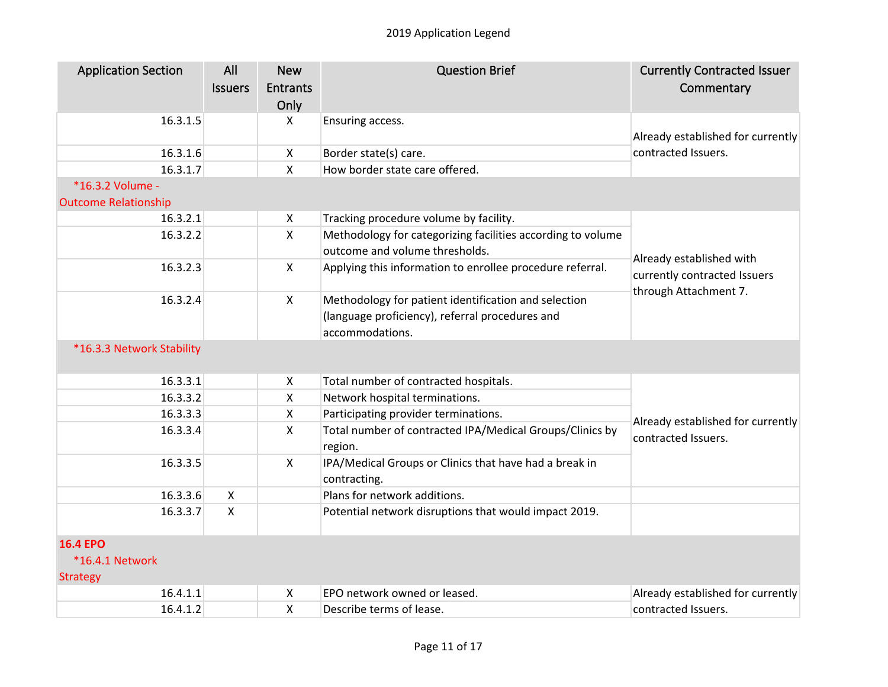| <b>Application Section</b>                      | All<br><b>Issuers</b> | <b>New</b><br><b>Entrants</b><br>Only | <b>Question Brief</b>                                                                                                      | <b>Currently Contracted Issuer</b><br>Commentary                                  |
|-------------------------------------------------|-----------------------|---------------------------------------|----------------------------------------------------------------------------------------------------------------------------|-----------------------------------------------------------------------------------|
| 16.3.1.5                                        |                       | X                                     | Ensuring access.                                                                                                           | Already established for currently                                                 |
| 16.3.1.6                                        |                       | X                                     | Border state(s) care.                                                                                                      | contracted Issuers.                                                               |
| 16.3.1.7                                        |                       | $\mathsf{X}$                          | How border state care offered.                                                                                             |                                                                                   |
| *16.3.2 Volume -<br><b>Outcome Relationship</b> |                       |                                       |                                                                                                                            |                                                                                   |
| 16.3.2.1                                        |                       | X                                     | Tracking procedure volume by facility.                                                                                     |                                                                                   |
| 16.3.2.2                                        |                       | $\mathsf{X}$                          | Methodology for categorizing facilities according to volume<br>outcome and volume thresholds.                              |                                                                                   |
| 16.3.2.3                                        |                       | $\mathsf{X}$                          | Applying this information to enrollee procedure referral.                                                                  | Already established with<br>currently contracted Issuers<br>through Attachment 7. |
| 16.3.2.4                                        |                       | $\mathsf{X}$                          | Methodology for patient identification and selection<br>(language proficiency), referral procedures and<br>accommodations. |                                                                                   |
| *16.3.3 Network Stability                       |                       |                                       |                                                                                                                            |                                                                                   |
| 16.3.3.1                                        |                       | $\mathsf{X}$                          | Total number of contracted hospitals.                                                                                      |                                                                                   |
| 16.3.3.2                                        |                       | $\mathsf{X}$                          | Network hospital terminations.                                                                                             |                                                                                   |
| 16.3.3.3                                        |                       | $\mathsf{X}$                          | Participating provider terminations.                                                                                       | Already established for currently                                                 |
| 16.3.3.4                                        |                       | X                                     | Total number of contracted IPA/Medical Groups/Clinics by<br>region.                                                        | contracted Issuers.                                                               |
| 16.3.3.5                                        |                       | X                                     | IPA/Medical Groups or Clinics that have had a break in<br>contracting.                                                     |                                                                                   |
| 16.3.3.6                                        | $\mathsf{X}$          |                                       | Plans for network additions.                                                                                               |                                                                                   |
| 16.3.3.7                                        | $\pmb{\times}$        |                                       | Potential network disruptions that would impact 2019.                                                                      |                                                                                   |
| <b>16.4 EPO</b>                                 |                       |                                       |                                                                                                                            |                                                                                   |
| <b>*16.4.1 Network</b>                          |                       |                                       |                                                                                                                            |                                                                                   |

Strategy

|  | つ network owned or leased.<br>FPO. | Already established for currently |
|--|------------------------------------|-----------------------------------|
|  | Describe terms of lease.           | <u>Lissuers.</u>                  |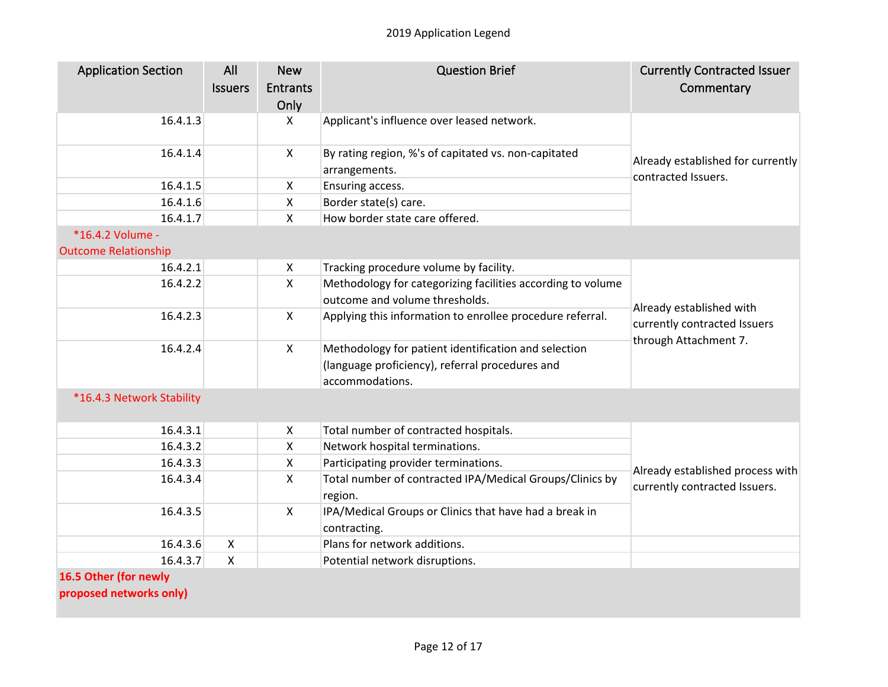| <b>Application Section</b>  | All<br><b>Issuers</b> | <b>New</b><br><b>Entrants</b><br>Only | <b>Question Brief</b>                                                  | <b>Currently Contracted Issuer</b><br>Commentary                                  |
|-----------------------------|-----------------------|---------------------------------------|------------------------------------------------------------------------|-----------------------------------------------------------------------------------|
| 16.4.1.3                    |                       | X                                     | Applicant's influence over leased network.                             | Already established for currently<br>contracted Issuers.                          |
| 16.4.1.4                    |                       | X                                     | By rating region, %'s of capitated vs. non-capitated<br>arrangements.  |                                                                                   |
| 16.4.1.5                    |                       | X                                     | Ensuring access.                                                       |                                                                                   |
| 16.4.1.6                    |                       | $\pmb{\times}$                        | Border state(s) care.                                                  |                                                                                   |
| 16.4.1.7                    |                       | X                                     | How border state care offered.                                         |                                                                                   |
| *16.4.2 Volume -            |                       |                                       |                                                                        |                                                                                   |
| <b>Outcome Relationship</b> |                       |                                       |                                                                        |                                                                                   |
| 16.4.2.1                    |                       | $\boldsymbol{\mathsf{X}}$             | Tracking procedure volume by facility.                                 |                                                                                   |
| 16.4.2.2                    |                       | $\mathsf{x}$                          | Methodology for categorizing facilities according to volume            |                                                                                   |
|                             |                       |                                       | outcome and volume thresholds.                                         | Already established with<br>currently contracted Issuers<br>through Attachment 7. |
| 16.4.2.3                    |                       | $\mathsf{X}$                          | Applying this information to enrollee procedure referral.              |                                                                                   |
| 16.4.2.4                    |                       | $\mathsf{X}$                          | Methodology for patient identification and selection                   |                                                                                   |
|                             |                       |                                       | (language proficiency), referral procedures and<br>accommodations.     |                                                                                   |
| *16.4.3 Network Stability   |                       |                                       |                                                                        |                                                                                   |
| 16.4.3.1                    |                       | $\mathsf{X}$                          | Total number of contracted hospitals.                                  |                                                                                   |
| 16.4.3.2                    |                       | $\mathsf{x}$                          | Network hospital terminations.                                         |                                                                                   |
| 16.4.3.3                    |                       | X                                     | Participating provider terminations.                                   | Already established process with<br>currently contracted Issuers.                 |
| 16.4.3.4                    |                       | $\mathsf{X}$                          | Total number of contracted IPA/Medical Groups/Clinics by<br>region.    |                                                                                   |
| 16.4.3.5                    |                       | $\mathsf{X}$                          | IPA/Medical Groups or Clinics that have had a break in<br>contracting. |                                                                                   |
| 16.4.3.6                    | X                     |                                       | Plans for network additions.                                           |                                                                                   |
| 16.4.3.7                    | X                     |                                       | Potential network disruptions.                                         |                                                                                   |
| 16.5 Other (for newly       |                       |                                       |                                                                        |                                                                                   |

**proposed networks only)**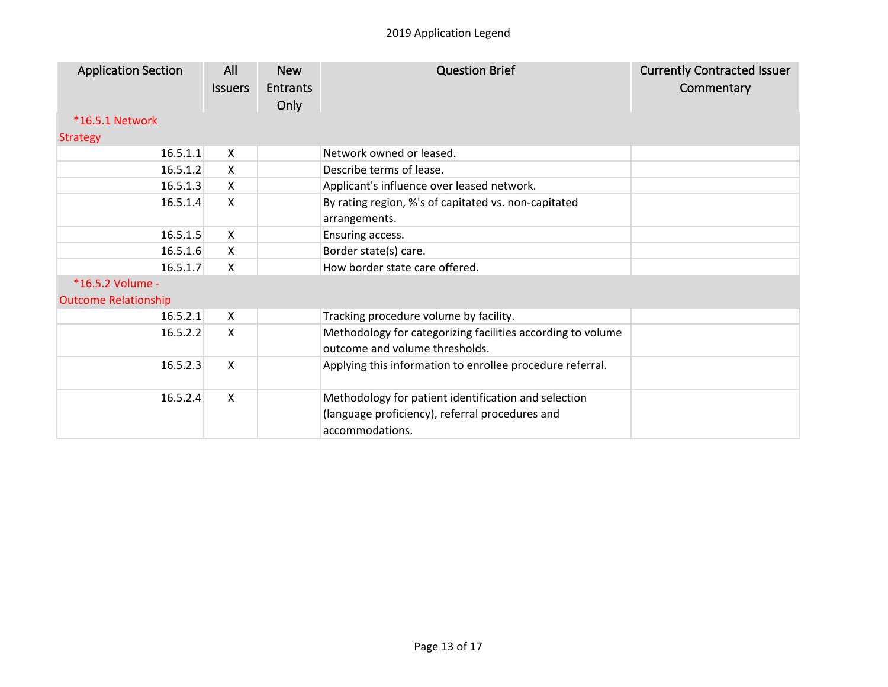| <b>Application Section</b>  | All<br><b>Issuers</b> | <b>New</b><br><b>Entrants</b><br>Only | <b>Question Brief</b>                                                                                                      | <b>Currently Contracted Issuer</b><br>Commentary |
|-----------------------------|-----------------------|---------------------------------------|----------------------------------------------------------------------------------------------------------------------------|--------------------------------------------------|
| <b>*16.5.1 Network</b>      |                       |                                       |                                                                                                                            |                                                  |
| <b>Strategy</b>             |                       |                                       |                                                                                                                            |                                                  |
| 16.5.1.1                    | X                     |                                       | Network owned or leased.                                                                                                   |                                                  |
| 16.5.1.2                    | X                     |                                       | Describe terms of lease.                                                                                                   |                                                  |
| 16.5.1.3                    | $\mathsf{X}$          |                                       | Applicant's influence over leased network.                                                                                 |                                                  |
| 16.5.1.4                    | X                     |                                       | By rating region, %'s of capitated vs. non-capitated<br>arrangements.                                                      |                                                  |
| 16.5.1.5                    | $\mathsf{X}$          |                                       | Ensuring access.                                                                                                           |                                                  |
| 16.5.1.6                    | $\mathsf{X}$          |                                       | Border state(s) care.                                                                                                      |                                                  |
| 16.5.1.7                    | $\mathsf{X}$          |                                       | How border state care offered.                                                                                             |                                                  |
| *16.5.2 Volume -            |                       |                                       |                                                                                                                            |                                                  |
| <b>Outcome Relationship</b> |                       |                                       |                                                                                                                            |                                                  |
| 16.5.2.1                    | $\mathsf{X}$          |                                       | Tracking procedure volume by facility.                                                                                     |                                                  |
| 16.5.2.2                    | X                     |                                       | Methodology for categorizing facilities according to volume<br>outcome and volume thresholds.                              |                                                  |
| 16.5.2.3                    | X                     |                                       | Applying this information to enrollee procedure referral.                                                                  |                                                  |
| 16.5.2.4                    | $\mathsf{X}$          |                                       | Methodology for patient identification and selection<br>(language proficiency), referral procedures and<br>accommodations. |                                                  |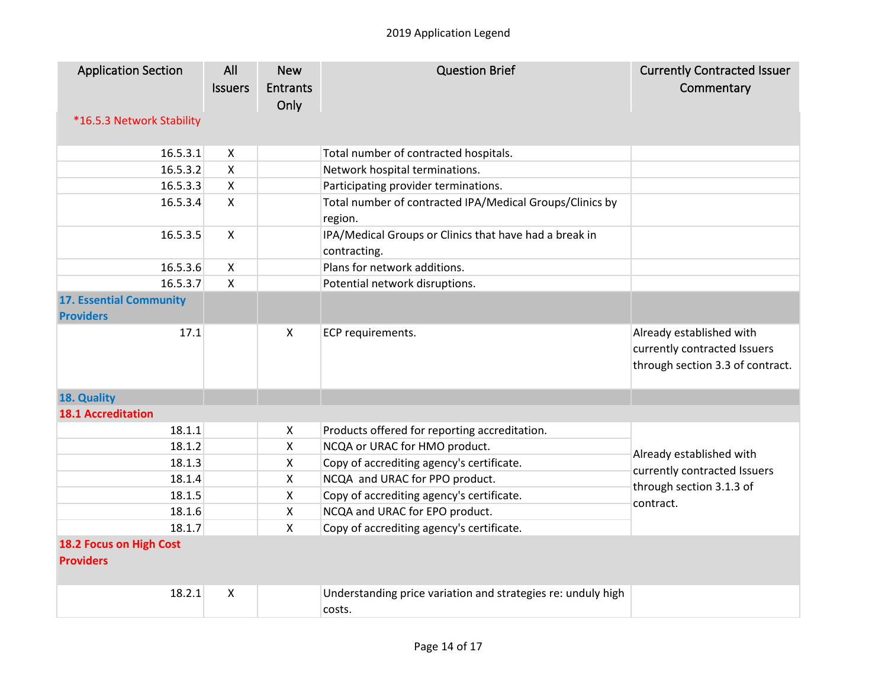| <b>Application Section</b>                  | All                       | <b>New</b>      | <b>Question Brief</b>                                                  | <b>Currently Contracted Issuer</b>                                                           |
|---------------------------------------------|---------------------------|-----------------|------------------------------------------------------------------------|----------------------------------------------------------------------------------------------|
|                                             | <b>Issuers</b>            | <b>Entrants</b> |                                                                        | Commentary                                                                                   |
|                                             |                           | Only            |                                                                        |                                                                                              |
| *16.5.3 Network Stability                   |                           |                 |                                                                        |                                                                                              |
| 16.5.3.1                                    |                           |                 |                                                                        |                                                                                              |
|                                             | $\mathsf{X}$              |                 | Total number of contracted hospitals.                                  |                                                                                              |
| 16.5.3.2<br>16.5.3.3                        | X<br>$\mathsf{x}$         |                 | Network hospital terminations.                                         |                                                                                              |
|                                             | $\mathsf{X}$              |                 | Participating provider terminations.                                   |                                                                                              |
| 16.5.3.4                                    |                           |                 | Total number of contracted IPA/Medical Groups/Clinics by<br>region.    |                                                                                              |
| 16.5.3.5                                    | $\mathsf{X}$              |                 | IPA/Medical Groups or Clinics that have had a break in<br>contracting. |                                                                                              |
| 16.5.3.6                                    | $\mathsf{x}$              |                 | Plans for network additions.                                           |                                                                                              |
| 16.5.3.7                                    | $\boldsymbol{\mathsf{X}}$ |                 | Potential network disruptions.                                         |                                                                                              |
| <b>17. Essential Community</b>              |                           |                 |                                                                        |                                                                                              |
| <b>Providers</b>                            |                           |                 |                                                                        |                                                                                              |
| 17.1                                        |                           | X               | ECP requirements.                                                      | Already established with<br>currently contracted Issuers<br>through section 3.3 of contract. |
| 18. Quality                                 |                           |                 |                                                                        |                                                                                              |
| <b>18.1 Accreditation</b>                   |                           |                 |                                                                        |                                                                                              |
| 18.1.1                                      |                           | X               | Products offered for reporting accreditation.                          |                                                                                              |
| 18.1.2                                      |                           | $\mathsf{x}$    | NCQA or URAC for HMO product.                                          | Already established with                                                                     |
| 18.1.3                                      |                           | X               | Copy of accrediting agency's certificate.                              | currently contracted Issuers<br>through section 3.1.3 of<br>contract.                        |
| 18.1.4                                      |                           | X               | NCQA and URAC for PPO product.                                         |                                                                                              |
| 18.1.5                                      |                           | X               | Copy of accrediting agency's certificate.                              |                                                                                              |
| 18.1.6                                      |                           | $\mathsf{x}$    | NCQA and URAC for EPO product.                                         |                                                                                              |
| 18.1.7                                      |                           | $\mathsf{x}$    | Copy of accrediting agency's certificate.                              |                                                                                              |
| 18.2 Focus on High Cost<br><b>Providers</b> |                           |                 |                                                                        |                                                                                              |
| 18.2.1                                      | X                         |                 | Understanding price variation and strategies re: unduly high<br>costs. |                                                                                              |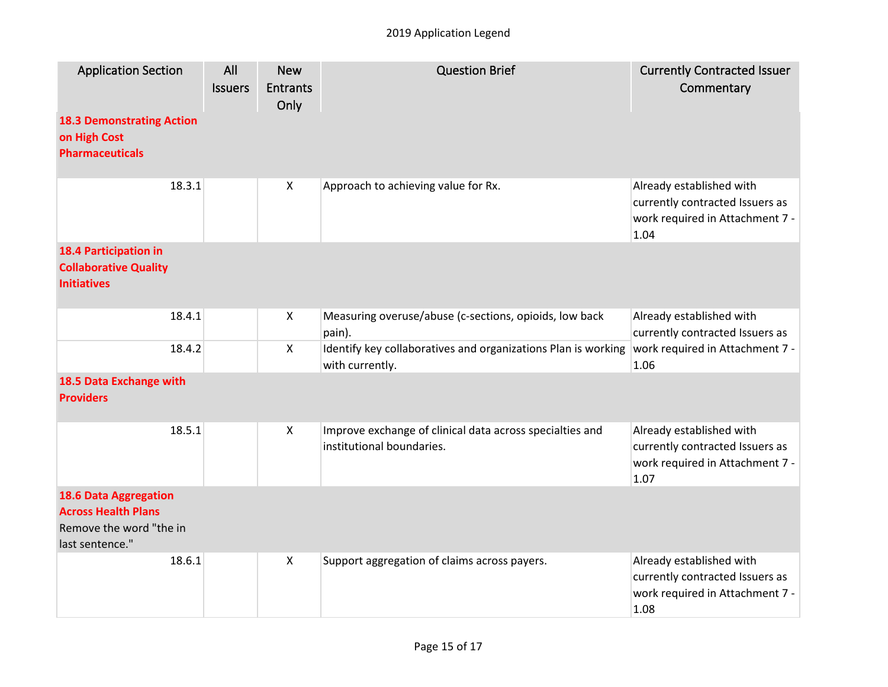| <b>Application Section</b>                                                                               | All<br><b>Issuers</b> | <b>New</b><br><b>Entrants</b><br>Only | <b>Question Brief</b>                                                                 | <b>Currently Contracted Issuer</b><br>Commentary                                                       |
|----------------------------------------------------------------------------------------------------------|-----------------------|---------------------------------------|---------------------------------------------------------------------------------------|--------------------------------------------------------------------------------------------------------|
| <b>18.3 Demonstrating Action</b><br>on High Cost<br><b>Pharmaceuticals</b>                               |                       |                                       |                                                                                       |                                                                                                        |
| 18.3.1                                                                                                   |                       | $\mathsf{X}$                          | Approach to achieving value for Rx.                                                   | Already established with<br>currently contracted Issuers as<br>work required in Attachment 7 -<br>1.04 |
| <b>18.4 Participation in</b><br><b>Collaborative Quality</b><br><b>Initiatives</b>                       |                       |                                       |                                                                                       |                                                                                                        |
| 18.4.1                                                                                                   |                       | $\boldsymbol{\mathsf{X}}$             | Measuring overuse/abuse (c-sections, opioids, low back<br>pain).                      | Already established with<br>currently contracted Issuers as                                            |
| 18.4.2                                                                                                   |                       | $\mathsf{X}$                          | Identify key collaboratives and organizations Plan is working<br>with currently.      | work required in Attachment 7 -<br>1.06                                                                |
| 18.5 Data Exchange with<br><b>Providers</b>                                                              |                       |                                       |                                                                                       |                                                                                                        |
| 18.5.1                                                                                                   |                       | $\mathsf{X}$                          | Improve exchange of clinical data across specialties and<br>institutional boundaries. | Already established with<br>currently contracted Issuers as<br>work required in Attachment 7 -<br>1.07 |
| <b>18.6 Data Aggregation</b><br><b>Across Health Plans</b><br>Remove the word "the in<br>last sentence." |                       |                                       |                                                                                       |                                                                                                        |
| 18.6.1                                                                                                   |                       | $\boldsymbol{\mathsf{X}}$             | Support aggregation of claims across payers.                                          | Already established with<br>currently contracted Issuers as<br>work required in Attachment 7 -<br>1.08 |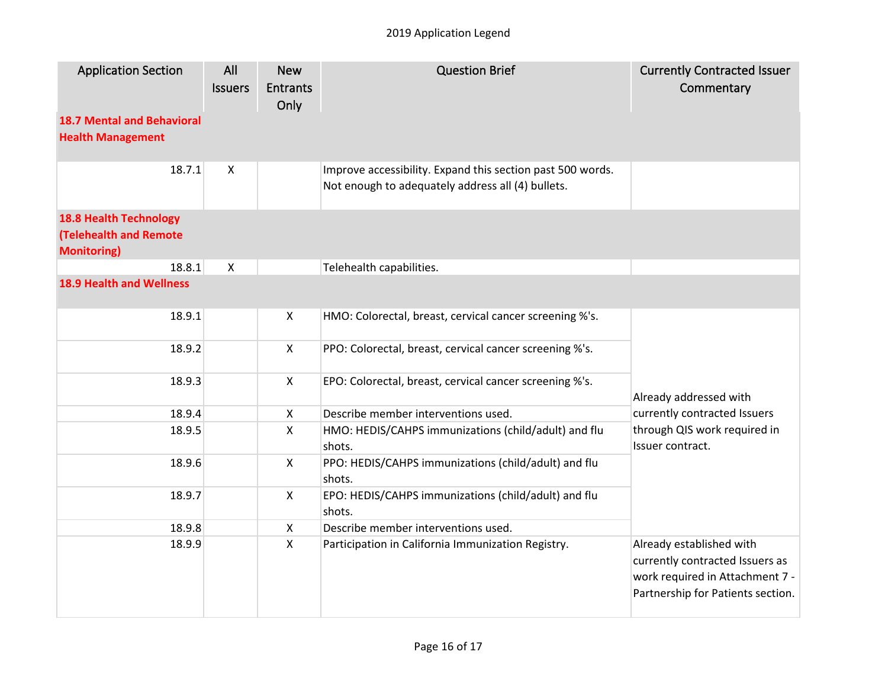| <b>Application Section</b>                                    | All<br><b>Issuers</b> | <b>New</b><br><b>Entrants</b><br>Only | <b>Question Brief</b>                                                                                           | <b>Currently Contracted Issuer</b><br>Commentary                                                                                    |
|---------------------------------------------------------------|-----------------------|---------------------------------------|-----------------------------------------------------------------------------------------------------------------|-------------------------------------------------------------------------------------------------------------------------------------|
| <b>18.7 Mental and Behavioral</b><br><b>Health Management</b> |                       |                                       |                                                                                                                 |                                                                                                                                     |
| 18.7.1                                                        | $\pmb{\times}$        |                                       | Improve accessibility. Expand this section past 500 words.<br>Not enough to adequately address all (4) bullets. |                                                                                                                                     |
| <b>18.8 Health Technology</b>                                 |                       |                                       |                                                                                                                 |                                                                                                                                     |
| <b>(Telehealth and Remote</b>                                 |                       |                                       |                                                                                                                 |                                                                                                                                     |
| <b>Monitoring)</b>                                            |                       |                                       |                                                                                                                 |                                                                                                                                     |
| 18.8.1                                                        | X                     |                                       | Telehealth capabilities.                                                                                        |                                                                                                                                     |
| <b>18.9 Health and Wellness</b>                               |                       |                                       |                                                                                                                 |                                                                                                                                     |
| 18.9.1                                                        |                       | $\pmb{\times}$                        | HMO: Colorectal, breast, cervical cancer screening %'s.                                                         |                                                                                                                                     |
| 18.9.2                                                        |                       | $\boldsymbol{\mathsf{X}}$             | PPO: Colorectal, breast, cervical cancer screening %'s.                                                         |                                                                                                                                     |
| 18.9.3                                                        |                       | $\boldsymbol{\mathsf{X}}$             | EPO: Colorectal, breast, cervical cancer screening %'s.                                                         | Already addressed with                                                                                                              |
| 18.9.4                                                        |                       | $\boldsymbol{\mathsf{X}}$             | Describe member interventions used.                                                                             | currently contracted Issuers                                                                                                        |
| 18.9.5                                                        |                       | X                                     | HMO: HEDIS/CAHPS immunizations (child/adult) and flu<br>shots.                                                  | through QIS work required in<br>Issuer contract.                                                                                    |
| 18.9.6                                                        |                       | $\boldsymbol{\mathsf{X}}$             | PPO: HEDIS/CAHPS immunizations (child/adult) and flu<br>shots.                                                  |                                                                                                                                     |
| 18.9.7                                                        |                       | $\boldsymbol{\mathsf{X}}$             | EPO: HEDIS/CAHPS immunizations (child/adult) and flu<br>shots.                                                  |                                                                                                                                     |
| 18.9.8                                                        |                       | $\boldsymbol{\mathsf{X}}$             | Describe member interventions used.                                                                             |                                                                                                                                     |
| 18.9.9                                                        |                       | $\boldsymbol{\mathsf{X}}$             | Participation in California Immunization Registry.                                                              | Already established with<br>currently contracted Issuers as<br>work required in Attachment 7 -<br>Partnership for Patients section. |